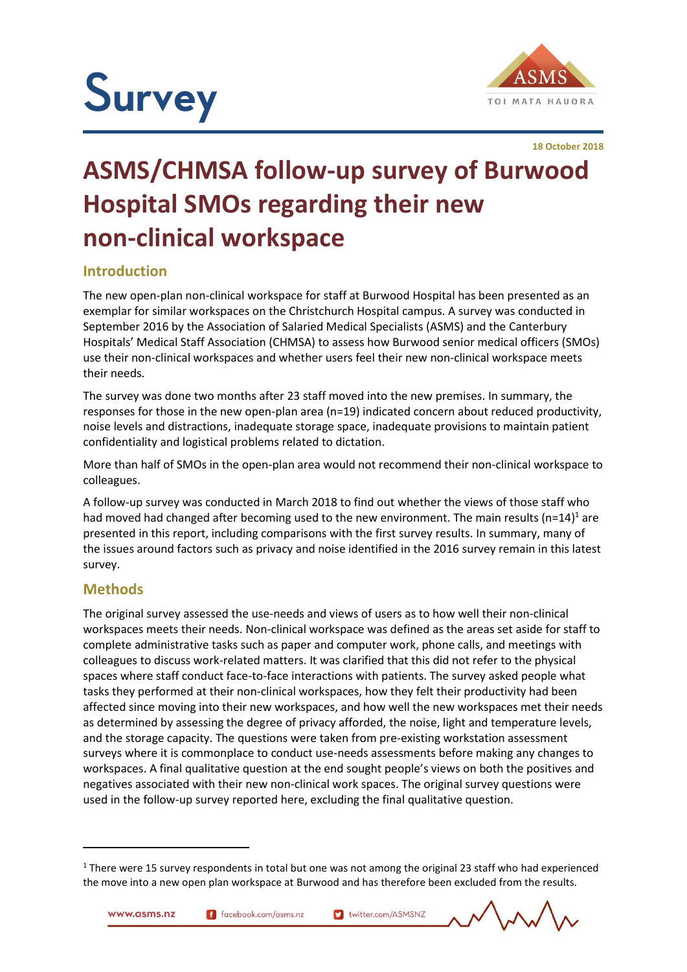

**18 October 2018**

# **ASMS/CHMSA follow-up survey of Burwood Hospital SMOs regarding their new non-clinical workspace**

# **Introduction**

The new open-plan non-clinical workspace for staff at Burwood Hospital has been presented as an exemplar for similar workspaces on the Christchurch Hospital campus. A survey was conducted in September 2016 by the Association of Salaried Medical Specialists (ASMS) and the Canterbury Hospitals' Medical Staff Association (CHMSA) to assess how Burwood senior medical officers (SMOs) use their non-clinical workspaces and whether users feel their new non-clinical workspace meets their needs.

The survey was done two months after 23 staff moved into the new premises. In summary, the responses for those in the new open-plan area (n=19) indicated concern about reduced productivity, noise levels and distractions, inadequate storage space, inadequate provisions to maintain patient confidentiality and logistical problems related to dictation.

More than half of SMOs in the open-plan area would not recommend their non-clinical workspace to colleagues.

A follow-up survey was conducted in March 2018 to find out whether the views of those staff who had moved had changed after becoming used to the new environment. The main results (n=14)<sup>1</sup> are presented in this report, including comparisons with the first survey results. In summary, many of the issues around factors such as privacy and noise identified in the 2016 survey remain in this latest survey.

# **Methods**

1

The original survey assessed the use-needs and views of users as to how well their non-clinical workspaces meets their needs. Non-clinical workspace was defined as the areas set aside for staff to complete administrative tasks such as paper and computer work, phone calls, and meetings with colleagues to discuss work-related matters. It was clarified that this did not refer to the physical spaces where staff conduct face-to-face interactions with patients. The survey asked people what tasks they performed at their non-clinical workspaces, how they felt their productivity had been affected since moving into their new workspaces, and how well the new workspaces met their needs as determined by assessing the degree of privacy afforded, the noise, light and temperature levels, and the storage capacity. The questions were taken from pre-existing workstation assessment surveys where it is commonplace to conduct use-needs assessments before making any changes to workspaces. A final qualitative question at the end sought people's views on both the positives and negatives associated with their new non-clinical work spaces. The original survey questions were used in the follow-up survey reported here, excluding the final qualitative question.

 $1$  There were 15 survey respondents in total but one was not among the original 23 staff who had experienced the move into a new open plan workspace at Burwood and has therefore been excluded from the results.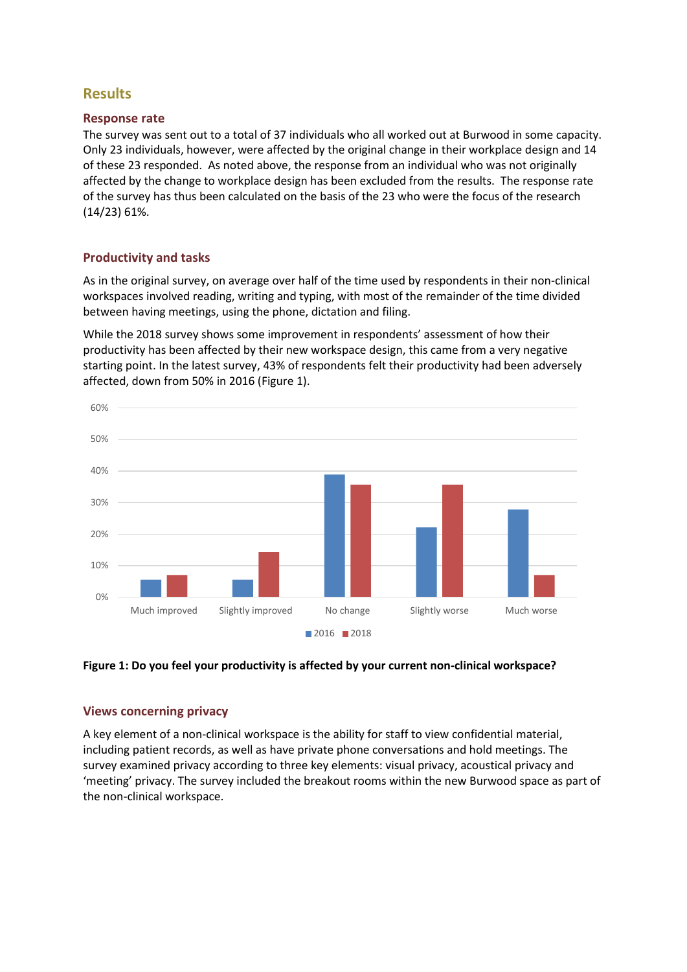# **Results**

## **Response rate**

The survey was sent out to a total of 37 individuals who all worked out at Burwood in some capacity. Only 23 individuals, however, were affected by the original change in their workplace design and 14 of these 23 responded. As noted above, the response from an individual who was not originally affected by the change to workplace design has been excluded from the results. The response rate of the survey has thus been calculated on the basis of the 23 who were the focus of the research (14/23) 61%.

# **Productivity and tasks**

As in the original survey, on average over half of the time used by respondents in their non-clinical workspaces involved reading, writing and typing, with most of the remainder of the time divided between having meetings, using the phone, dictation and filing.

While the 2018 survey shows some improvement in respondents' assessment of how their productivity has been affected by their new workspace design, this came from a very negative starting point. In the latest survey, 43% of respondents felt their productivity had been adversely affected, down from 50% in 2016 (Figure 1).





# **Views concerning privacy**

A key element of a non-clinical workspace is the ability for staff to view confidential material, including patient records, as well as have private phone conversations and hold meetings. The survey examined privacy according to three key elements: visual privacy, acoustical privacy and 'meeting' privacy. The survey included the breakout rooms within the new Burwood space as part of the non-clinical workspace.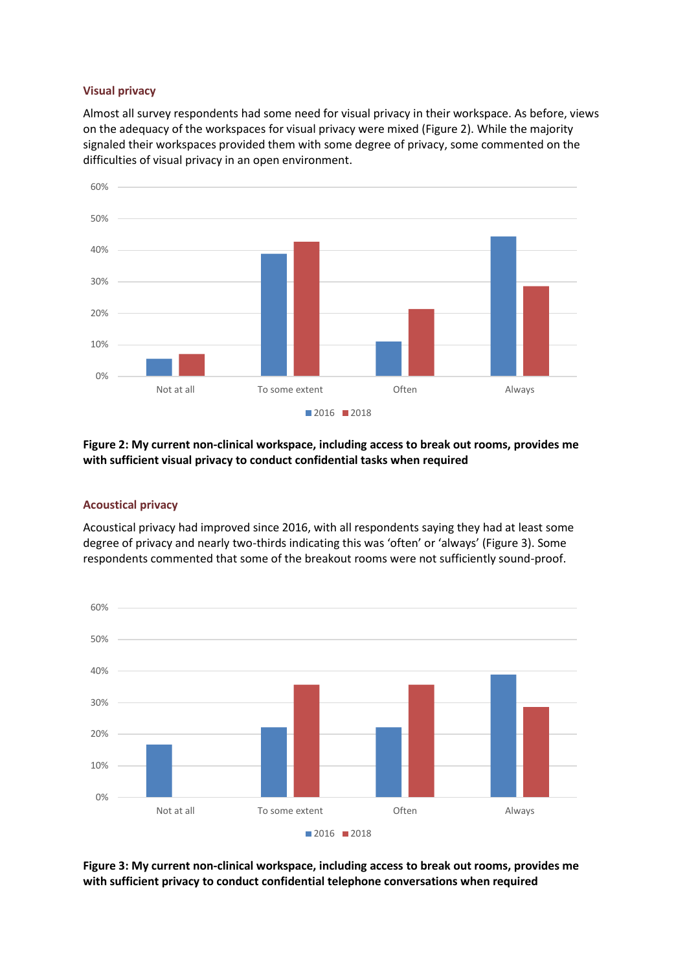#### **Visual privacy**

Almost all survey respondents had some need for visual privacy in their workspace. As before, views on the adequacy of the workspaces for visual privacy were mixed (Figure 2). While the majority signaled their workspaces provided them with some degree of privacy, some commented on the difficulties of visual privacy in an open environment.



#### **Figure 2: My current non-clinical workspace, including access to break out rooms, provides me with sufficient visual privacy to conduct confidential tasks when required**

#### **Acoustical privacy**

Acoustical privacy had improved since 2016, with all respondents saying they had at least some degree of privacy and nearly two-thirds indicating this was 'often' or 'always' (Figure 3). Some respondents commented that some of the breakout rooms were not sufficiently sound-proof.



**Figure 3: My current non-clinical workspace, including access to break out rooms, provides me with sufficient privacy to conduct confidential telephone conversations when required**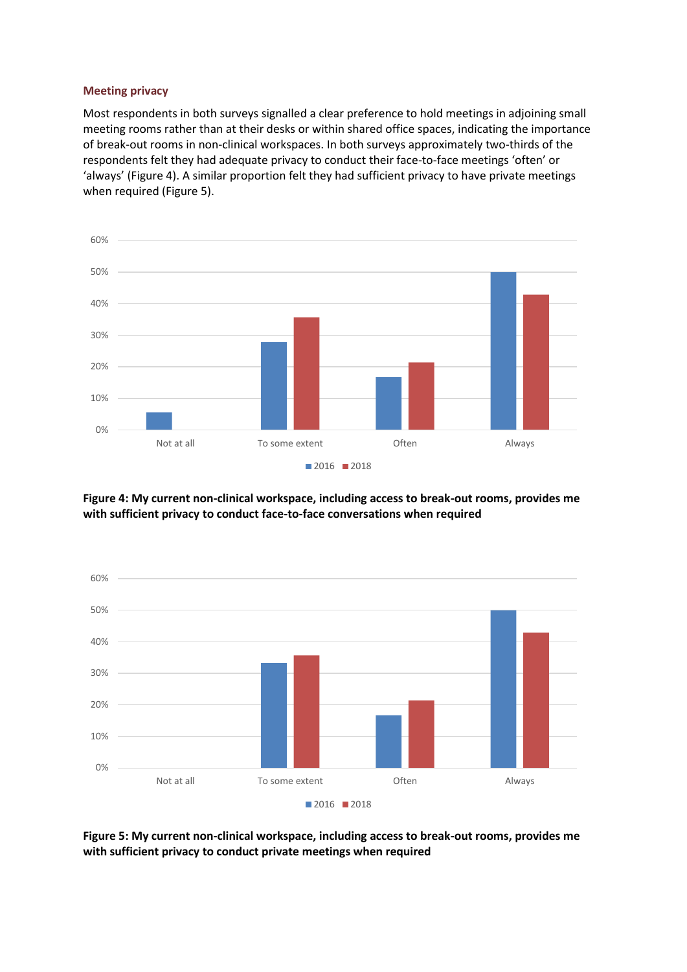#### **Meeting privacy**

Most respondents in both surveys signalled a clear preference to hold meetings in adjoining small meeting rooms rather than at their desks or within shared office spaces, indicating the importance of break-out rooms in non-clinical workspaces. In both surveys approximately two-thirds of the respondents felt they had adequate privacy to conduct their face-to-face meetings 'often' or 'always' (Figure 4). A similar proportion felt they had sufficient privacy to have private meetings when required (Figure 5).



**Figure 4: My current non-clinical workspace, including access to break-out rooms, provides me with sufficient privacy to conduct face-to-face conversations when required**



**Figure 5: My current non-clinical workspace, including access to break-out rooms, provides me with sufficient privacy to conduct private meetings when required**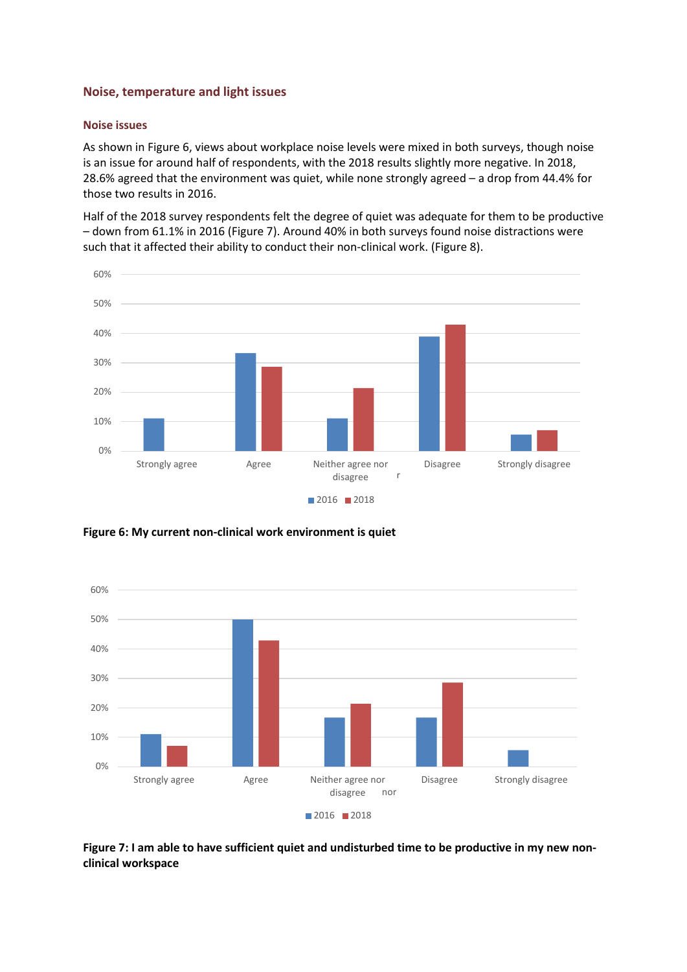## **Noise, temperature and light issues**

## **Noise issues**

As shown in Figure 6, views about workplace noise levels were mixed in both surveys, though noise is an issue for around half of respondents, with the 2018 results slightly more negative. In 2018, 28.6% agreed that the environment was quiet, while none strongly agreed – a drop from 44.4% for those two results in 2016.

Half of the 2018 survey respondents felt the degree of quiet was adequate for them to be productive – down from 61.1% in 2016 (Figure 7). Around 40% in both surveys found noise distractions were such that it affected their ability to conduct their non-clinical work. (Figure 8).



**Figure 6: My current non-clinical work environment is quiet**



**Figure 7: I am able to have sufficient quiet and undisturbed time to be productive in my new nonclinical workspace**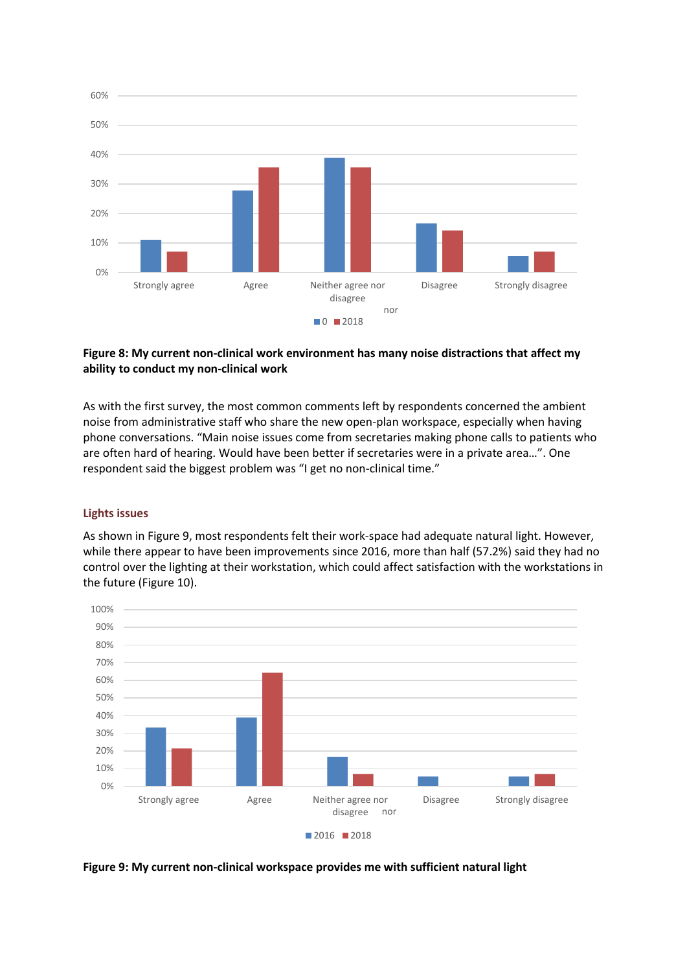

## **Figure 8: My current non-clinical work environment has many noise distractions that affect my ability to conduct my non-clinical work**

As with the first survey, the most common comments left by respondents concerned the ambient noise from administrative staff who share the new open-plan workspace, especially when having phone conversations. "Main noise issues come from secretaries making phone calls to patients who are often hard of hearing. Would have been better if secretaries were in a private area…". One respondent said the biggest problem was "I get no non-clinical time."

# **Lights issues**

As shown in Figure 9, most respondents felt their work-space had adequate natural light. However, while there appear to have been improvements since 2016, more than half (57.2%) said they had no control over the lighting at their workstation, which could affect satisfaction with the workstations in the future (Figure 10).



**Figure 9: My current non-clinical workspace provides me with sufficient natural light**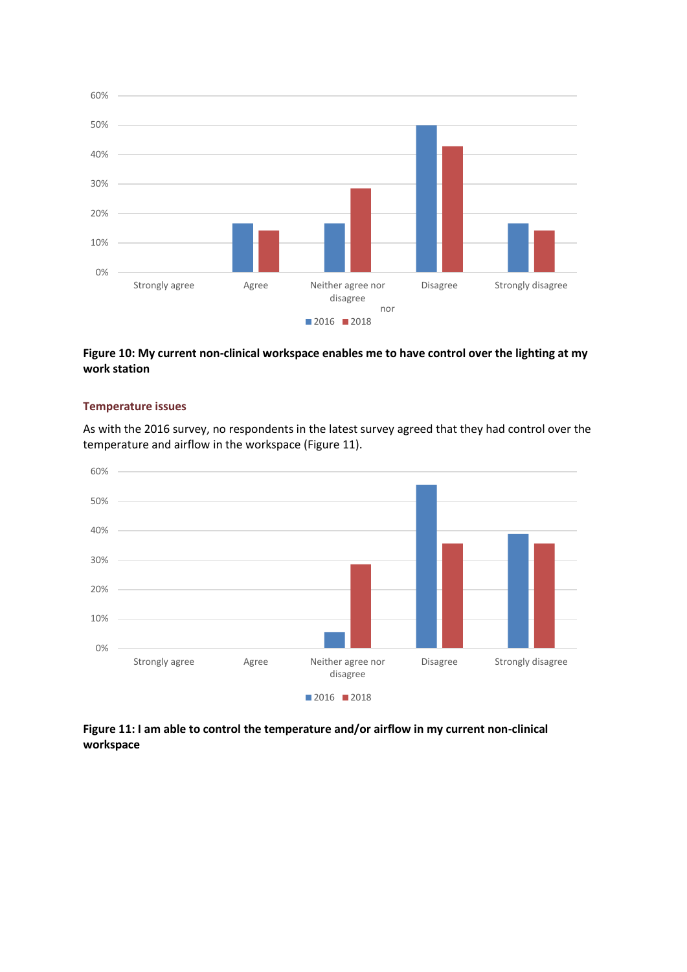

**Figure 10: My current non-clinical workspace enables me to have control over the lighting at my work station**

#### **Temperature issues**

As with the 2016 survey, no respondents in the latest survey agreed that they had control over the temperature and airflow in the workspace (Figure 11).



**Figure 11: I am able to control the temperature and/or airflow in my current non-clinical workspace**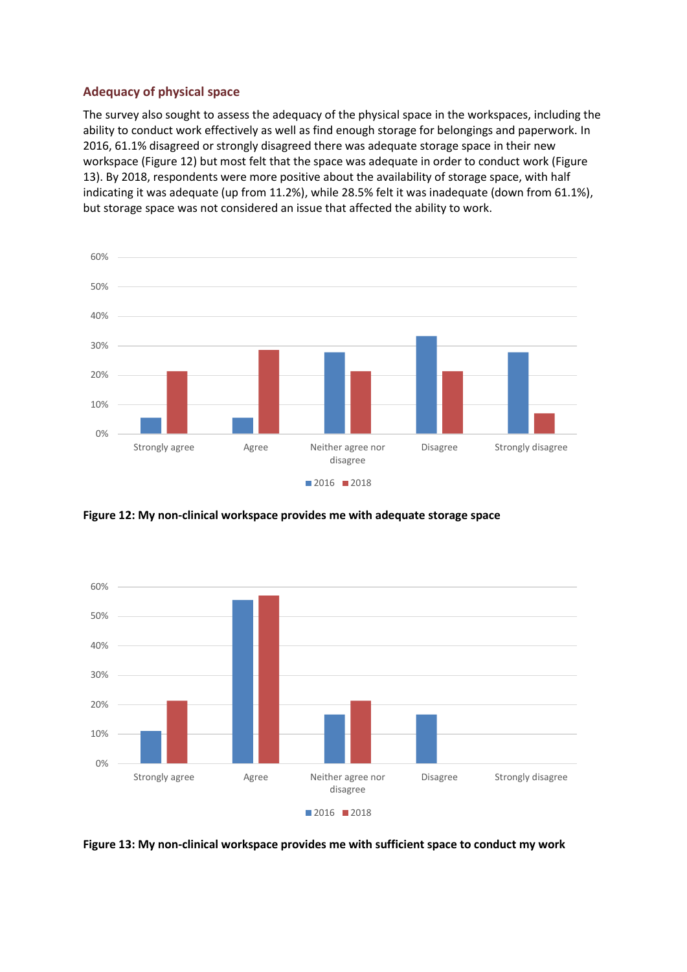# **Adequacy of physical space**

The survey also sought to assess the adequacy of the physical space in the workspaces, including the ability to conduct work effectively as well as find enough storage for belongings and paperwork. In 2016, 61.1% disagreed or strongly disagreed there was adequate storage space in their new workspace (Figure 12) but most felt that the space was adequate in order to conduct work (Figure 13). By 2018, respondents were more positive about the availability of storage space, with half indicating it was adequate (up from 11.2%), while 28.5% felt it was inadequate (down from 61.1%), but storage space was not considered an issue that affected the ability to work.



**Figure 12: My non-clinical workspace provides me with adequate storage space**



**Figure 13: My non-clinical workspace provides me with sufficient space to conduct my work**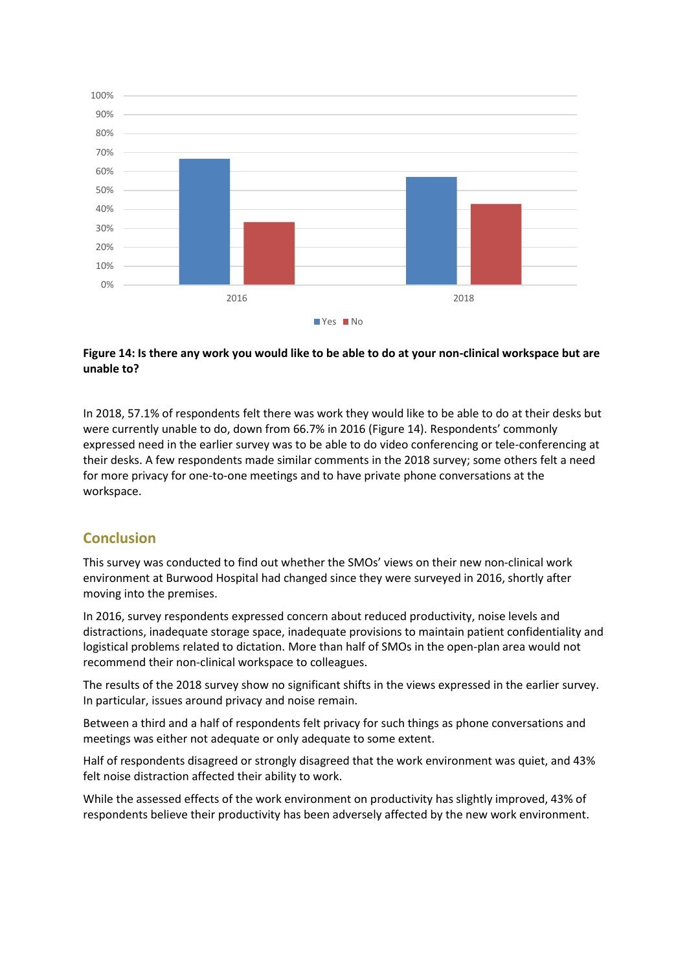

## **Figure 14: Is there any work you would like to be able to do at your non-clinical workspace but are unable to?**

In 2018, 57.1% of respondents felt there was work they would like to be able to do at their desks but were currently unable to do, down from 66.7% in 2016 (Figure 14). Respondents' commonly expressed need in the earlier survey was to be able to do video conferencing or tele-conferencing at their desks. A few respondents made similar comments in the 2018 survey; some others felt a need for more privacy for one-to-one meetings and to have private phone conversations at the workspace.

# **Conclusion**

This survey was conducted to find out whether the SMOs' views on their new non-clinical work environment at Burwood Hospital had changed since they were surveyed in 2016, shortly after moving into the premises.

In 2016, survey respondents expressed concern about reduced productivity, noise levels and distractions, inadequate storage space, inadequate provisions to maintain patient confidentiality and logistical problems related to dictation. More than half of SMOs in the open-plan area would not recommend their non-clinical workspace to colleagues.

The results of the 2018 survey show no significant shifts in the views expressed in the earlier survey. In particular, issues around privacy and noise remain.

Between a third and a half of respondents felt privacy for such things as phone conversations and meetings was either not adequate or only adequate to some extent.

Half of respondents disagreed or strongly disagreed that the work environment was quiet, and 43% felt noise distraction affected their ability to work.

While the assessed effects of the work environment on productivity has slightly improved, 43% of respondents believe their productivity has been adversely affected by the new work environment.